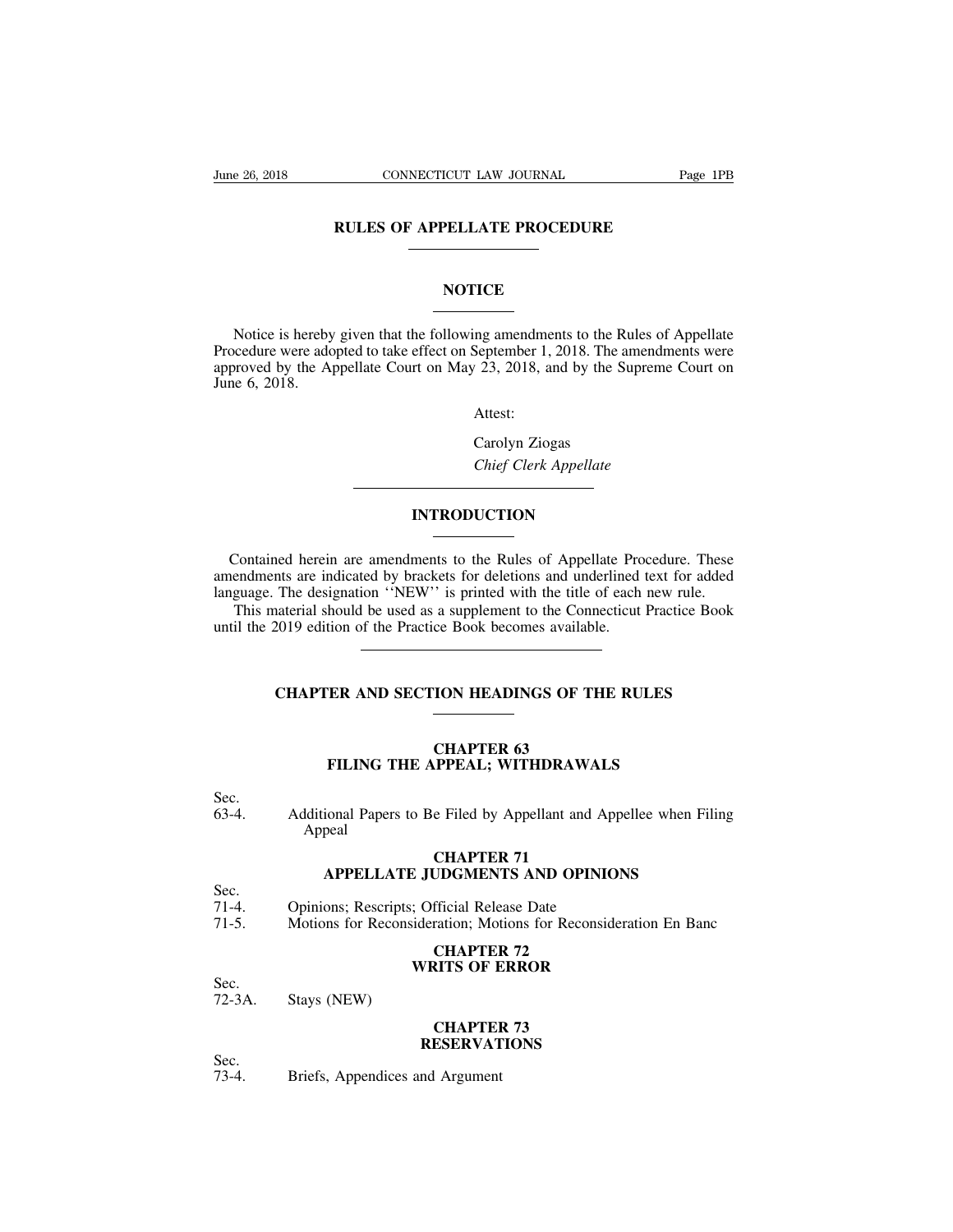# **CONNECTICUT LAW JOURNAL** Page<br>
RULES OF APPELLATE PROCEDURE

### **NOTICE**

RULES OF APPELLATE PROCEDURE<br>
NOTICE<br>
Notice is hereby given that the following amendments to the Rules of Appellate<br>
cedure were adopted to take effect on September 1, 2018. The amendments were<br>
proved by the Appellate Co NOTICE<br>
Notice is hereby given that the following amendments to the Rules of Appellate<br>
Procedure were adopted to take effect on September 1, 2018. The amendments were<br>
approved by the Appellate Court on May 23, 2018, and **NOTICE**<br>Notice is hereby given that the following amendments to the Rules of Appellate<br>Procedure were adopted to take effect on September 1, 2018. The amendments were<br>approved by the Appellate Court on May 23, 2018, and b Notice is hereby<br>Procedure were add<br>approved by the Aj<br>June 6, 2018. ng amendments to the R<br>September 1, 2018. The a<br><sup>7</sup> 23, 2018, and by the S<br>Attest:<br>Carolyn Ziogas<br>*Chief Clerk Appellate Chief Clerk Appellate*<br> *Chief Clerk Appellate*<br> *Carolyn Ziogas*<br> *Chief Clerk Appellate* 

Attest:

### **INTRODUCTION**

Chief Clerk Appellate<br>
Contained herein are amendments to the Rules of Appellate Procedure. These<br>
endments are indicated by brackets for deletions and underlined text for added<br>
iguage. The designation "NEW" is printed wi Chief Clerk Appellate<br> **EXECUTED EXECUTE:**<br>
Contained herein are amendments to the Rules of Appellate Procedure. These<br>
amendments are indicated by brackets for deletions and underlined text for added<br>
language. The design **INTRODUCTION**<br>
Contained herein are amendments to the Rules of Appellate Procedure. These<br>
amendments are indicated by brackets for deletions and underlined text for added<br>
language. The designation "NEW" is printed with The Contained herein are amendments to the Rules of Appellate Procedure. These<br>endments are indicated by brackets for deletions and underlined text for added<br>guage. The designation "NEW" is printed with the title of each n UNIRODUCTION<br>
Contained herein are amendments to the Rules of Appellate Pro<br>
amendments are indicated by brackets for deletions and underlined<br>
language. The designation "NEW" is printed with the title of each<br>
This materi

The designation "NEW" is printed with the title of each new rule.<br>
Interial should be used as a supplement to the Connecticut Practice Book<br>
2019 edition of the Practice Book becomes available.<br> **CHAPTER AND SECTION HEADIN** 

## **CHAPTER 63<br>CHAPTER 63<br>PPEAL; WITHDRAWA FILING THE APPEAL; WITHDRAWALS**

Sec.<br>63-4.

CHAPTER 63<br>
FILING THE APPEAL; WITHDRAWALS<br>
Sec.<br>
Additional Papers to Be Filed by Appellant and Appellee when Filing<br>
Appeal Appeal **CHAPTER 63<br>PPEAL; WITHDRAWA<br>e Filed by Appellant and .<br><b>CHAPTER 71**<br>UDGMENTS AND OPIN FILING THE APPEAL; WITHDRAWALS<br>
ional Papers to Be Filed by Appellant and Appellee when Fili<br>
peal<br> **APPELLATE JUDGMENTS AND OPINIONS**<br>
ons; Rescripts; Official Release Date Sec.<br>
63-4. Additional Papers to Be Filed by Appellant and App<br>
Appeal<br> **CHAPTER 71**<br>
Sec.<br>
71-4. Opinions; Rescripts; Official Release Date<br>
71-5. Motions for Reconsideration; Motions for Reconsideration<br>
71-5. 3-4. Additional Papers to Be Filed by Appellant and Appellee when Filing<br>Appeal<br>**CHAPTER 71**<br>**APPELLATE JUDGMENTS AND OPINIONS**<br>Sec.<br>71-4. Opinions; Rescripts; Official Release Date<br>71-5. Motions for Reconsideration; Motio

## **CHAPTER 71<br>UDGMENTS AND OPIN<br>fficial Release Date<br>ration; Motions for Recons<br><b>CHAPTER 72**<br>RITS OF ERROR **CHAPTER 71**<br> **C** JUDGMENTS AND OPINIONS<br>
The Solution: Motions for Reconsideration<br> **CHAPTER 72**<br> **WRITS OF ERROR**

Sec.

Sec.<br>71-4. Opinions; Rescripts;<br>71-5. Motions for Reconsi<br>Sec.<br>72-3A. Stays (NEW)

# **Fration: Motions for Recons<br>
<b>CHAPTER 72<br>
RITS OF ERROR<br>
CHAPTER 73<br>
ESERVATIONS**

Sec.<br>72-3A.

### **RESERVATIONS**

Sec.<br>73-4.

WRITS OF E<br>
72-3A. Stays (NEW)<br> **CHAPTEI<br>
RESERVAT**<br>
RESERVAT<br>
73-4. Briefs, Appendices and Argument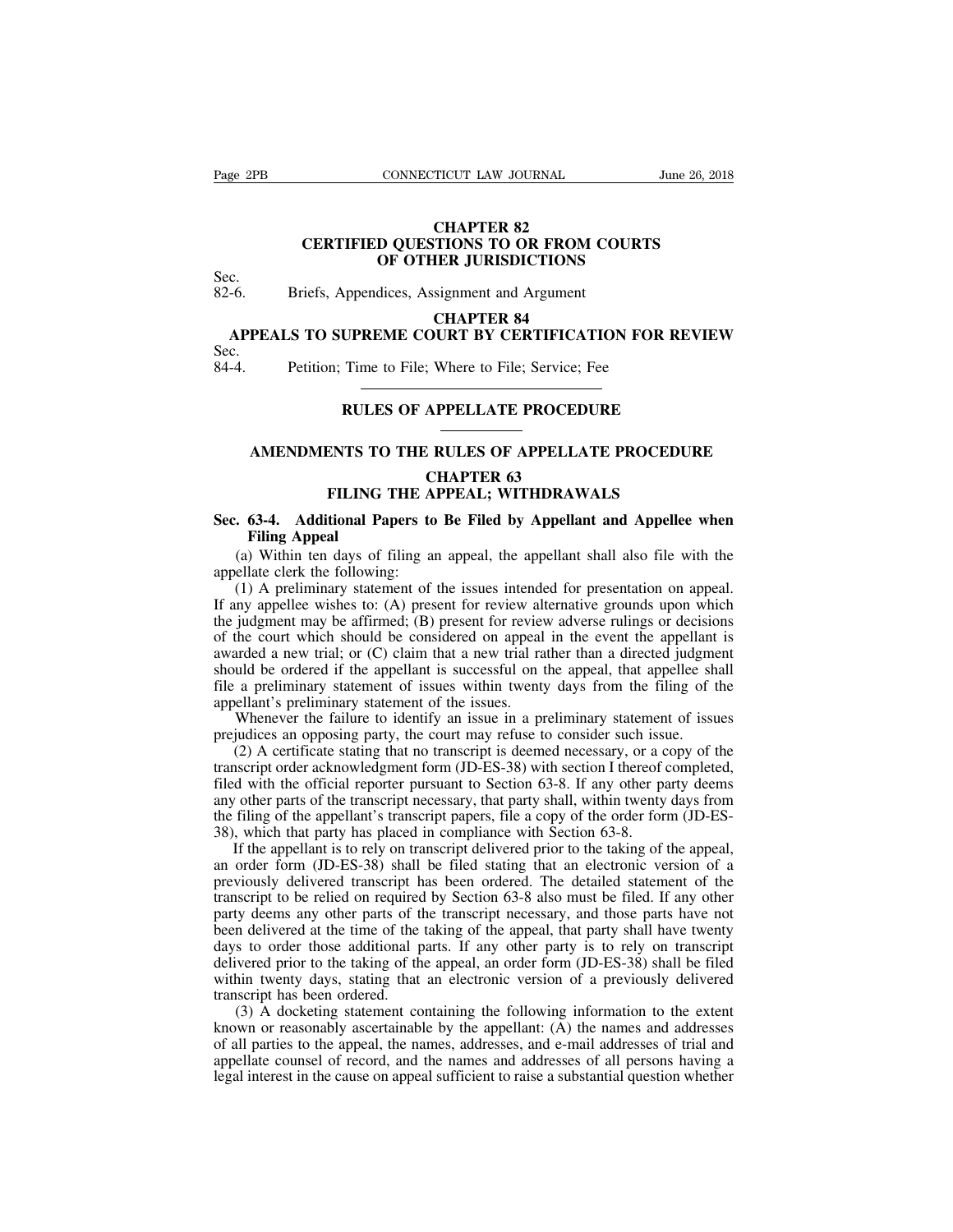### **TICUT LAW JOURNAL<br>CHAPTER 82<br>CHAPTER 82<br>JER JURISDICTIONS CONNECTICUT LAW JOURNAL** June 26, 2018<br> **CHAPTER 82**<br> **CERTIFIED QUESTIONS TO OR FROM COURTS**<br> **CERTIFIED QUESTIONS TO OR FROM COURTS CONNECTICUT LAW JOURNAL**<br> **CHAPTER 82<br>
D QUESTIONS TO OR FROM COURTS<br>
OF OTHER JURISDICTIONS**<br>
dices, Assignment and Argument CHAPTER 82<br>
CERTIFIED QUESTIONS TO OR FROM COU<br>
Sec.<br>
82-6. Briefs, Appendices, Assignment and Argument<br>
CHAPTER 84<br>
APPEALS TO SUPPEAR COUPT BY CERTIFICATION CERTIFIED QUESTIONS TO OR FROM COURTS<br>
C.<br>
C.<br>
C.<br>
C.<br>
C.<br>
C.<br>
C.<br>
CHAPTER JURISDICTIONS<br>
CHAPTER 84<br>
APPEALS TO SUPREME COURT BY CERTIFICATION FOR REVIEW<br>
C.<br>
C.<br>
Petition; Time to File; Where to File; Service; Fee **CHAPTER 82<br>
CERTIFIED QUESTIONS TO OR FROM COURTS**<br>
C.<br> **APPEALS TO SUPREME COURT BY CERTIFICATION FOR REVIEW**<br>
C.<br> **APPEALS TO SUPREME COURT BY CERTIFICATION FOR REVIEW**<br>
C.<br>
Petition; Time to File; Where to File; Servic

Sec.<br>82-6.

# **SEC.**<br>
82-6. Briefs, Appendices, Assignment and Argument<br> **CHAPTER 84**<br> **APPEALS TO SUPREME COURT BY CERTIFICATION FOR** 1<br>
Sec.<br>
84-4. Petition; Time to File; Where to File; Service; Fee<br>
PUILES OF APPELLATE PPOCEDUPE **CHAPTER 84<br>
CHAPTER 84<br>
UPREME COURT BY CERTIFICATION FOR REVIE<br>
Time to File; Where to File; Service; Fee<br>
RULES OF APPELLATE PROCEDURE**

Sec.<br>84-4.

# Petition; Time to File; Where to File; Service; Fee<br> **AMENDMENTS TO THE RULES OF APPELLATE PROCEDURE**<br> **AMENDMENTS TO THE RULES OF APPELLATE PROCEDURE**<br>
CHAPTER 63

## RULES OF APPELLATE PROCEDURE<br>
AMENDMENTS TO THE RULES OF APPELLATE PROCEDURE<br>
CHAPTER 63<br>
FILING THE APPEAL; WITHDRAWALS **FILING THE RULES OF APPELLATE PROCEDURE**<br> **FILING THE RULES OF APPELLATE PROCEDUR<br>
FILING THE APPEAL; WITHDRAWALS<br>
tional Papers to Be Filed by Appellant and Appellee**

### **SEC. 63-4.** Additional Papers to Be Filed by Appellant and Appellee when<br>
FILING THE APPEAL; WITHDRAWALS<br>
Sec. 63-4. Additional Papers to Be Filed by Appellant and Appellee when<br>
Filing Appeal<br>
(a) Within ten days of fili **AMENDMENTS T<br>FILING**<br>**63-4. Additional Filing Appeal**<br>(C) Within ten days of Mate clerk the following (a) MINUTER (A) THE RULES OF APPELLATE PROCEDURE<br>
CHAPTER 63<br>
FILING THE APPEAL; WITHDRAWALS<br>
Additional Papers to Be Filed by Appellant and Appellee when<br>
Filing Appeal<br>
(a) Within ten days of filing an appeal, the appell

C<br> **EILING THE A**<br> **Sec. 63-4.** Additional Papers to<br>
Filing Appeal<br>
(a) Within ten days of filing at<br>
appellate clerk the following:<br>
(1) A preliminary statement of<br>
If any appellee wishes to: (A) pres FILING THE APPEAL; WITHDRAWALS<br>
(1) A preliming Appeal<br>
(a) Within ten days of filing an appeal, the appellant shall also file with the<br>
ellate clerk the following:<br>
(1) A preliminary statement of the issues intended for p FILING THE APPEAL; WITHDRAWALS<br>Sec. 63-4. Additional Papers to Be Filed by Appellant and Appellee when<br>Filing Appeal<br>(a) Within ten days of filing an appeal, the appellant shall also file with the<br>appellate clerk the follo Sec. 63-4. Additional Papers to Be Filed by Appellant and Appellee when<br>Filing Appeal<br>(a) Within ten days of filing an appeal, the appellant shall also file with the<br>appellate clerk the following:<br>(1) A preliminary statem **Filing Appeal**<br>(a) Within ten days of filing an appeal, the appellant shall also file with the appellate clerk the following:<br>(1) A preliminary statement of the issues intended for presentation on appeal.<br>If any appellee (a) Within ten days of filing an appeal, the appellant shall also file with the appellate clerk the following:<br>
(1) A preliminary statement of the issues intended for presentation on appeal.<br>
If any appellee wishes to: (A (a) whilm ich days of filling an appear, the appellant shall also fite with the appellate clerk the following:<br>
(1) A preliminary statement of the issues intended for presentation on appeal.<br>
If any appellee wishes to: (A) appendic electric incording.<br>
(1) A preliminary statement of the issues intended for presentation on appeal.<br>
If any appellee wishes to: (A) present for review alternative grounds upon which<br>
the judgment may be affirmed; (1) A preliminary statement of the issues intended if any appellee wishes to: (A) present for review alt<br>the judgment may be affirmed; (B) present for review<br>of the court which should be considered on appeal<br>awarded a new ing appence wishes to. (A) present for teview antentiative grounds upon which<br>judgment may be affirmed; (B) present for review adverse rulings or decisions<br>the court which should be considered on appeal in the event the ap increase to an opposing be an out-<br>of the court which should be considered on appeal in the event the appellant<br>awarded a new trial; or (C) claim that a new trial rather than a directed judgme<br>should be ordered if the appe Incourt winter should be considered on appear in the event the apperant is<br>arded a new trial; or (C) claim that a new trial rather than a directed judgment<br>uld be ordered if the appellant is successful on the appeal, that

awarded a new trian, or (C) claim that a new trian rather than a directed judgment<br>should be ordered if the appellant is successful on the appeal, that appellee shall<br>file a preliminary statement of issues within twenty da should be ordered if the appenant is successide of the appear, that appende shall<br>file a preliminary statement of issues within twenty days from the filing of the<br>appellant's preliminary statement of the issues.<br>Whenever t any statement of issues within twenty days from the filling of the appellant's preliminary statement of the issues.<br>Whenever the failure to identify an issue in a preliminary statement of issues prejudices an opposing part The filim appearance of the appearance of the appearance of issues.<br>
Whenever the failure to identify an issue in a preliminary statement of issues<br>
regiudices an opposing party, the court may refuse to consider such issue whenever the rantic to identity an issue in a premininaly statement<br>prejudices an opposing party, the court may refuse to consider such issue.<br>(2) A certificate stating that no transcript is deemed necessary, or a c<br>transc (2) A certificate stating that no transcript is deemed necessary, or a copy of the inscript order acknowledgment form (JD-ES-38) with section I thereof completed, d with the official reporter pursuant to Section 63-8. If a ( $2$ ) A certificate stating that no transcript is decined necessary, or a copy of the transcript order acknowledgment form (JD-ES-38) with section I thereof completed, filed with the official reporter pursuant to Section

ranscript of delivered renovement to the Section 63-8. If any other party deems<br>any other parts of the transcript necessary, that party shall, within twenty days from<br>the filing of the appellant's transcript papers, file a the with the official reporter pursuant to section 63-6. If any other party decision any other parts of the transcript necessary, that party shall, within twenty days from the filing of the appellant's transcript papers, f any other parts of the transcript necessary, that party shart, whilm twenty days from<br>the filing of the appellant's transcript papers, file a copy of the order form (JD-ES-<br>38), which that party has placed in compliance wi been delivered at the time of the taking of the appeal, an order form (JD-ES-38), which that party has placed in compliance with Section 63-8. If the appellant is to rely on transcript delivered prior to the taking of the 36), which that party has placed in compinance with section 03-6.<br>If the appellant is to rely on transcript delivered prior to the taking of the appeal,<br>an order form (JD-ES-38) shall be filed stating that an electronic ve It are appenant is to rery on transcript denvered prior to the taking of the appear, an order form (JD-ES-38) shall be filed stating that an electronic version of a previously delivered transcript has been ordered. The det an order form (3D-E5-56) shall be field stating that an electronic version of a<br>previously delivered transcript has been ordered. The detailed statement of the<br>transcript to be relied on required by Section 63-8 also must provided and the ranscript in<br>transcript to be relied on required<br>party deems any other parts of ti<br>been delivered at the time of the<br>days to order those additional p<br>delivered prior to the taking of th<br>within twenty days, (3) A docketing statement containing the following information to the extent<br>all particle at the time of the taking of the appeal, that party shall have twenty<br>s to order those additional parts. If any other party is to re party decins any office parts of the transcript inceessary, and those parts have not<br>been delivered at the time of the taking of the appeal, that party shall have twenty<br>days to order those additional parts. If any other p

bech derivered at the time of the taking of the appear, that party shart have twenty days to order those additional parts. If any other party is to rely on transcript delivered prior to the taking of the appeal, an order f days to once mose additional patts. It any once party is to rely on transcript<br>delivered prior to the taking of the appeal, an order form (JD-ES-38) shall be filed<br>within twenty days, stating that an electronic version of delivered prior to the taking of the appeal, an order form (JD-ES-38) shall be filed<br>within twenty days, stating that an electronic version of a previously delivered<br>transcript has been ordered.<br>(3) A docketing statement c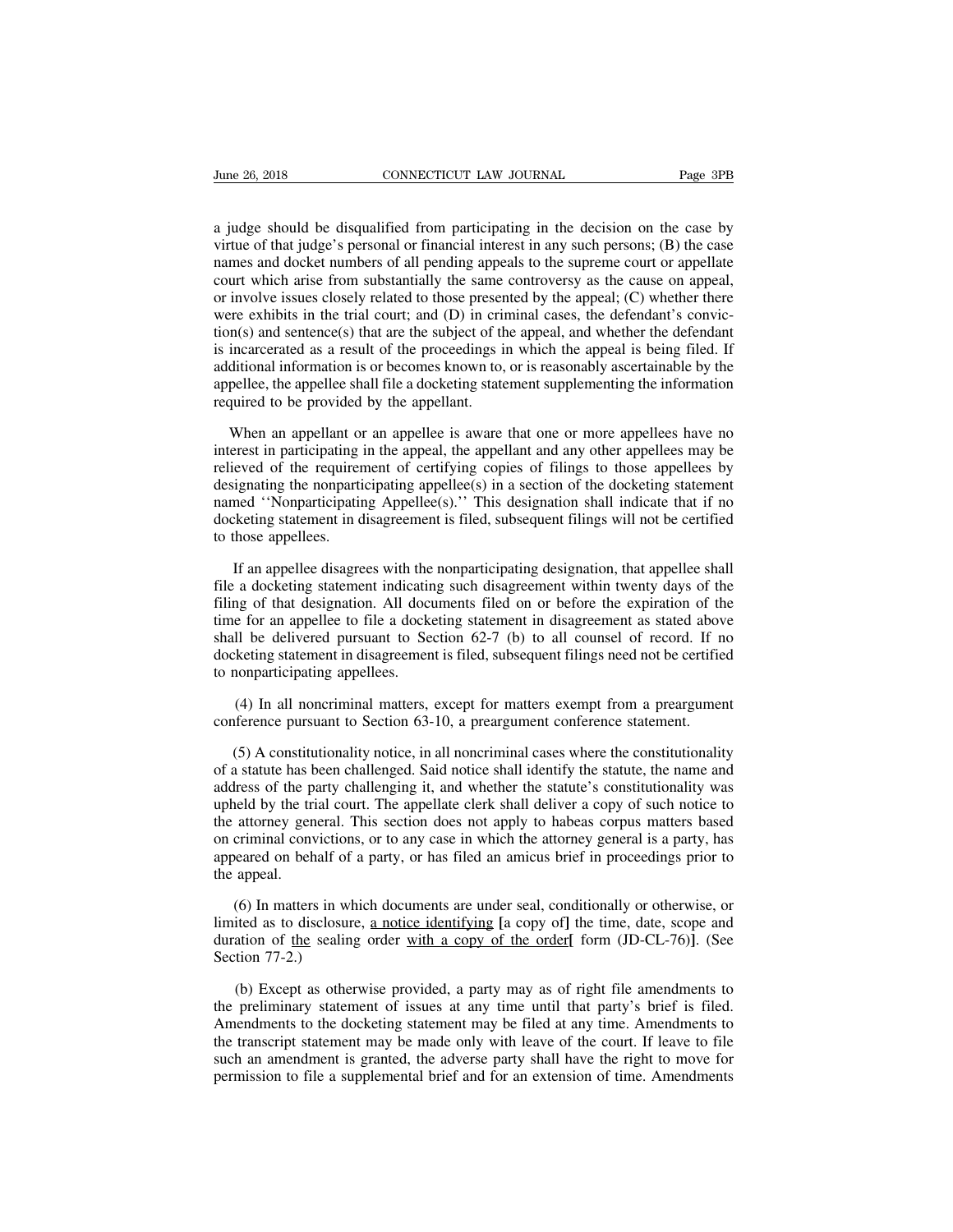For the 26, 2018<br>
a judge should be disqualified from participating in the decision on the case by<br>
virtue of that judge's personal or financial interest in any such persons; (B) the case<br>
names and docket numbers of all p View 26, 2018 CONNECTICUT LAW JOURNAL Page 3PB<br>a judge should be disqualified from participating in the decision on the case by<br>virtue of that judge's personal or financial interest in any such persons; (B) the case<br>names June 26, 2018 CONNECTICUT LAW JOURNAL Page 3PB<br>a judge should be disqualified from participating in the decision on the case by<br>virtue of that judge's personal or financial interest in any such persons; (B) the case<br>names From 26, 2018 CONNECTICUT LAW JOURNAL Page 3PB<br>a judge should be disqualified from participating in the decision on the case by<br>virtue of that judge's personal or financial interest in any such persons; (B) the case<br>names a judge should be disqualified from participating in the decision on the case by<br>virtue of that judge's personal or financial interest in any such persons; (B) the case<br>names and docket numbers of all pending appeals to th a judge should be disqualified from participating in the decision on the case by virtue of that judge's personal or financial interest in any such persons; (B) the case names and docket numbers of all pending appeals to th a judge should be disqualified from participating in the decision on the case by virtue of that judge's personal or financial interest in any such persons; (B) the case names and docket numbers of all pending appeals to th virtue of that judge's personal or financial interest in any such persons; (B) the case<br>names and docket numbers of all pending appeals to the supreme court or appellate<br>court which arise from substantially the same contro names and docket numbers of all pending appeals to the supreme court or appellate court which arise from substantially the same controversy as the cause on appeal, or involve issues closely related to those presented by th court which arise from substantially the same controversy as the cause on appeal, or involve issues closely related to those presented by the appeal; (C) whether there were exhibits in the trial court; and (D) in criminal or involve issues closely related to those presen<br>were exhibits in the trial court; and (D) in crition(s) and sentence(s) that are the subject of th<br>is incarcerated as a result of the proceedings is<br>additional information m(s) and sentence(s) that are the subject of the appeal, and whether the defendant<br>incarcerated as a result of the proceedings in which the appeal is being filed. If<br>ditional information is or becomes known to, or is reaso is incarcerated as a result of the proceedings in which the appeal is being filed. If<br>additional information is or becomes known to, or is reasonably ascertainable by the<br>appellee, the appellee shall file a docketing state

additional information is or becomes known to, or is reasonably ascertainable by the appellee, the appellee shall file a docketing statement supplementing the information required to be provided by the appellant.<br>When an a appellee, the appellee shall file a docketing statement supplementing the information<br>required to be provided by the appellant.<br>When an appellant or an appellee is aware that one or more appellees have no<br>interest in parti required to be provided by the appellant.<br>When an appellant or an appellee is aware that one or more appellees have no<br>interest in participating in the appeal, the appellant and any other appellees may be<br>relieved of the r When an appellant or an appellee is aware that one or more appellees have no<br>interest in participating in the appeal, the appellant and any other appellees may be<br>relieved of the requirement of certifying copies of filings When an appellant or<br>interest in participating i<br>relieved of the requirer<br>designating the nonparti<br>named "Nonparticipatir<br>docketing statement in d<br>to those appellees.<br>If an appellee disagre is eved of the requirement of certifying copies of filings to those appellees by ignating the nonparticipating appellee(s) in a section of the docketing statement med "Nonparticipating Appellee(s)." This designation shall designating the nonparticipating appellee(s) in a section of the docketing statement<br>named "Nonparticipating Appellee(s)." This designation shall indicate that if no<br>docketing statement in disagreement is filed, subsequent

mamed "Nonparticipating Appellee(s)." This designation shall indicate that if no<br>docketing statement in disagreement is filed, subsequent filings will not be certified<br>to those appellees.<br>If an appellee disagrees with the docketing statement in disagreement is filed, subsequent filings will not be certified<br>to those appellees.<br>If an appellee disagrees with the nonparticipating designation, that appellee shall<br>file a docketing statement indi to those appellees.<br>If an appellee disagrees with the nonparticipating designation, that appellee shall<br>file a docketing statement indicating such disagreement within twenty days of the<br>filing of that designation. All docu If an appellee disagrees with the nonparticipating designation, that appellee shall file a docketing statement indicating such disagreement within twenty days of the filing of that designation. All documents filed on or b If an appellee disagrees with the<br>file a docketing statement indicatin<br>filing of that designation. All doct<br>time for an appellee to file a dock<br>shall be delivered pursuant to Se<br>docketing statement in disagreemen<br>to nonpar (4) In all noncriminal matters, except for matters exempt from a preargument as stated above il be delivered pursuant to Section 62-7 (b) to all counsel of record. If no keting statement in disagreement is filed, subsequen filing of that designation. All documents filed on or before the expiration of the<br>time for an appellee to file a docketing statement in disagreement as stated above<br>shall be delivered pursuant to Section 62-7 (b) to all

(4) In all noncriminal matters, except for matters exempt from a preargument<br>(4) In all noncriminal matters, except for matters exempt from a preargument<br>ofference pursuant to Section 63-10, a preargument conference state of a stature has been challenged.<br>
(4) In all noncriminal matters, except for matters exempt from a preargument<br>
conference pursuant to Section 63-10, a preargument conference statement.<br>
(5) A constitutionality notice, in (4) In all noncriminal matters, except for matters exempt from a preargument<br>conference pursuant to Section 63-10, a preargument conference statement.<br>(5) A constitutionality notice, in all noncriminal cases where the cons (4) In all noncriminal matters, except for matters exempt from a preargument conference pursuant to Section  $63-10$ , a preargument conference statement.<br>(5) A constitutionality notice, in all noncriminal cases where the c conference pursuant to Section 63-10, a preargument conference statement.<br>
(5) A constitutionality notice, in all noncriminal cases where the constitutionality<br>
of a statute has been challenged. Said notice shall identify (5) A constitutionality notice, in all noncriminal cases where the constitutionality of a statute has been challenged. Said notice shall identify the statute, the name and address of the party challenging it, and whether (5) A constitutionality notice, in all noncriminal cases where the constitutionality of a statute has been challenged. Said notice shall identify the statute, the name and address of the party challenging it, and whether t of a statute has been challenged. Said notice shall identify the statute, the name and<br>address of the party challenging it, and whether the statute's constitutionality was<br>upheld by the trial court. The appellate clerk sha (6) In matters in which documents are under seal, conditionally or otherwise, or ited as to disclosure, a notice identifying [a copy of such notice to appear are under seared on behalf of a party, or has filed an amicus br Internal metalstand as to disclosure, a notice in which the attorney general is a party, has appeared on behalf of a party, or has filed an amicus brief in proceedings prior to the appeal.<br>
(6) In matters in which document

duration of the sealing order with a copy of the order<sup>[</sup> form (JD-CL-76)]. (See Section 77-2.) appeared on behalf of<br>the appeal.<br>(6) In matters in w<br>limited as to disclosu<br>duration of <u>the</u> sealin<br>Section 77-2.)<br>(b) Except as other (6) In matters in which documents are under seal, conditionally or otherwise, or ited as to disclosure, <u>a notice identifying</u> [a copy of] the time, date, scope and ation of <u>the</u> sealing order <u>with a copy of the order</u>

(6) In matters in which documents are under seal, conditionally or otherwise, or limited as to disclosure, <u>a notice identifying</u> [a copy of] the time, date, scope and duration of <u>the</u> sealing order with a copy of the or limited as to disclosure, <u>a notice identifying</u> [a copy of] the time, date, scope and<br>duration of <u>the</u> sealing order <u>with a copy of the order</u>[ form (JD-CL-76)]. (See<br>Section 77-2.)<br>(b) Except as otherwise provided, a p duration of <u>the</u> sealing order with a copy of the order</u> form (JD-CL-76)]. (See<br>Section 77-2.)<br>(b) Except as otherwise provided, a party may as of right file amendments to<br>the preliminary statement of issues at any time u Section 77-2.)<br>
(b) Except as otherwise provided, a party may as of right file amendments to<br>
the preliminary statement of issues at any time until that party's brief is filed.<br>
Amendments to the docketing statement may be (b) Except as otherwise provided, a party may as of right file amendments to the preliminary statement of issues at any time until that party's brief is filed. Amendments to the docketing statement may be filed at any time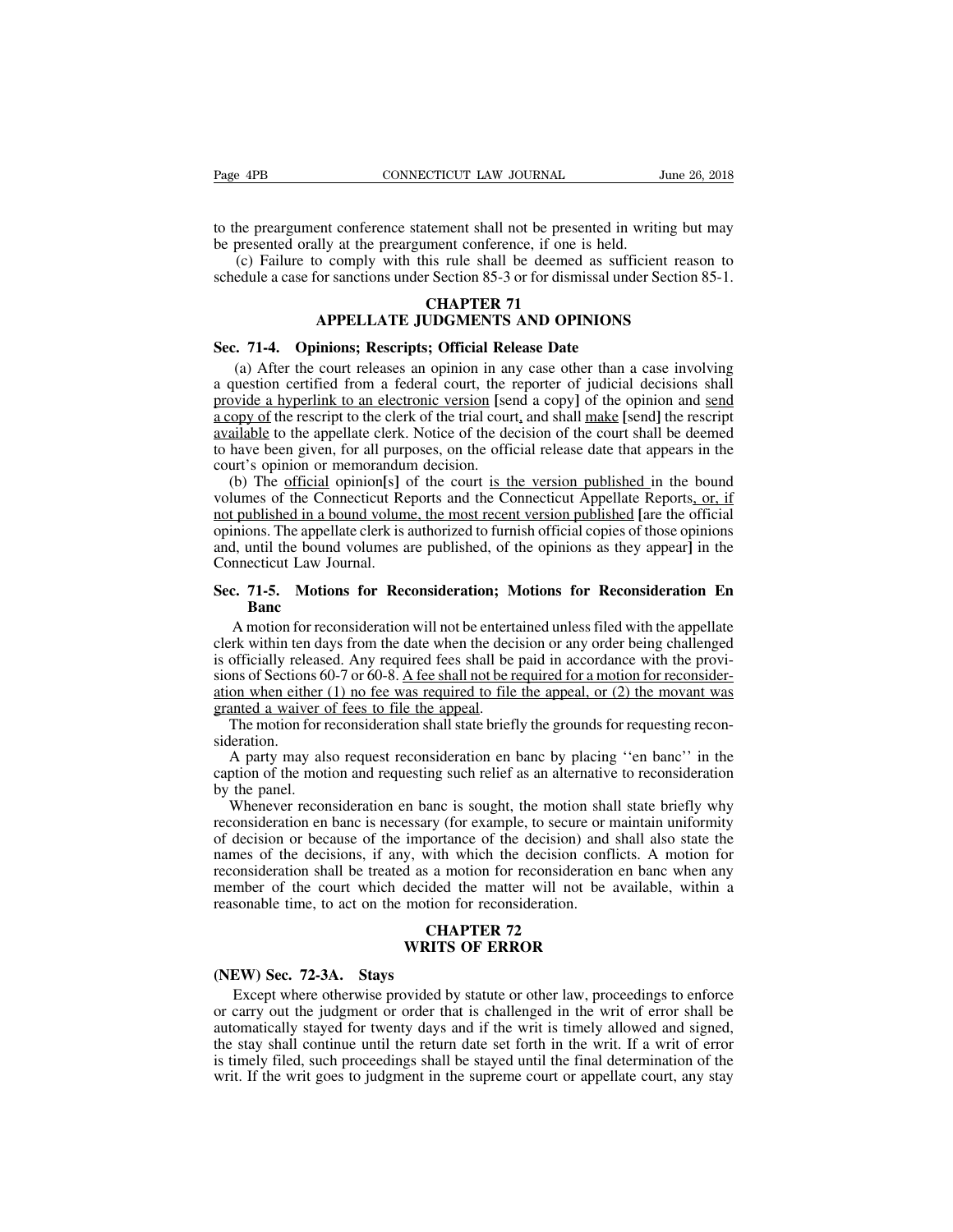The preargument conference statement shall not be presented in writing but may<br>to the preargument conference statement shall not be presented in writing but may<br>be presented orally at the preargument conference, if one is Page 4PB CONNECTICUT LAW JOURNAL CONNECTICUT CONNECTICUT CONSECTION CONSECTION CONSECTION CONSECTION TO presented in writing the preargument conference, if one is held.<br>
(c) Failure to comply with this rule shall be deemed Frame the presented in writing but all<br>the presented in writing but illy at the preargument conference, if one is held.<br>The shall be deemed as sufficient reasor<br>or sanctions under Section 85-3 or for dismissal under Sectio

(c) Failure to complement conference statement shall not be presented in writing but may<br>the preargument conference statement shall not be presented in writing but may<br>presented orally at the preargument conference, if one Fage 4PB CONNECTICUT LAW JOURNAL June 26, 2018<br>to the preargument conference statement shall not be presented in writing but may<br>be presented orally at the preargument conference, if one is held.<br>(c) Failure to comply with **Sec. 71-4. Opinions; Rescripts; Official Release Date**<br>
(c) Failure to comply with this rule shall be deemed as sufficed schedule a case for sanctions under Section 85-3 or for dismissal unde<br> **CHAPTER 71**<br> **APPELLATE JUD** 

# **CONTROVERGIST AND SET AND SET AND SET AND SET AND SET AND SET AND SET AND SET AND SET AND SPIN AND SET AND SPIN ACCORDING A SET AND SPIN ACCORDING A SET AND SPIN ACCORDING A SET AND SPIN ACCORDING A SET AND SPIN ACCORDING**

(c) Failure to comply with this rule shall be deemed as sufficient reason to edule a case for sanctions under Section 85-3 or for dismissal under Section 85-1.<br> **CHAPTER 71**<br> **APPELLATE JUDGMENTS AND OPINIONS**<br> **C. 71-4.** schedule a case for sanctions under Section 85-3 or for dismissal under Section 85-1.<br> **CHAPTER 71**<br> **APPELLATE JUDGMENTS AND OPINIONS**<br> **Sec. 71-4. Opinions; Rescripts; Official Release Date**<br>
(a) After the court releases **EXECT AND SECT SET AND OPINIONS**<br>**Sec. 71-4.** Opinions; Rescripts; Official Release Date<br>(a) After the court releases an opinion in any case other than a case involving<br>a question certified from a federal court, the repor **EXECUTE SET SET AND OPINIONS**<br>Sec. 71-4. Opinions; Rescripts; Official Release Date<br>(a) After the court releases an opinion in any case other than a case involving<br>a question certified from a federal court, the reporter o **EXECUTE SUDGIVIET S AND OFINIONS**<br>Sec. 71-4. **Opinions; Rescripts; Official Release Date**<br>(a) After the court releases an opinion in any case other than a case involving<br>a question certified from a federal court, the repo Sec. 71-4. **Opinions; Rescripts; Official Release Date**<br>(a) After the court releases an opinion in any case other than a case involving<br>a question certified from a federal court, the reporter of judicial decisions shall<br>pr (a) After the court releases an opinion in an<br>a question certified from a federal court, the provide a hyperlink to an electronic version [see<br>a copy of the rescript to the clerk of the trial cour<br>available to the appellat (a) After the court fertases an opinion in any case other than a case involving<br>question certified from a federal court, the reporter of judicial decisions shall<br><u>opy of</u> the rescript to the clerk of the trial court, and s a question ecritica from a federal court, the feporter of judicial decisions shan<br>provide a hyperlink to an electronic version [send a copy] of the opinion and <u>send</u><br>a copy of the rescript to the clerk of the trial court,

not a hyperimic to all executions version [send a copy] of the opinform and send<br>a copy of the rescript to the clerk of the trial court, and shall make [send] the rescript<br>available to the appellate clerk. Notice of the de a copy of the escript to the clerk of the trial cont, and shall make [schiq] the rescript<br>available to the appellate clerk. Notice of the decision of the court shall be deemed<br>to have been given, for all purposes, on the o available to the appenate clerk. Notice of the decision of the court shall be decided<br>to have been given, for all purposes, on the official release date that appears in the<br>court's opinion or memorandum decision.<br>(b) The <u></u> to have been given, for an purp<br>court's opinion or memorandur<br>(b) The <u>official</u> opinion[s] c<br>volumes of the Connecticut Re<br>not published in a bound volum<br>opinions. The appellate clerk is a<br>and, until the bound volumes a<br>C (b) The <u>official</u> opinion[s] of the court is the version published in the bound<br>volumes of the Connecticut Reports and the Connecticut Appellate Reports<u>, or, if<br>not published in a bound volume</u>, the most recent version p From The appellate clerk is authorized to furnish official copies of those opinions.<br>The appellate clerk is authorized to furnish official copies of those opinions<br>1, until the bound volumes are published, of the opinions

### **Banc**

clerk within ten days from the date when the decision or any order being challenged is officially released. Any required fees shall be paid in accordance with the provisions of Sections 60-7 or 60-8. A fee shall not be req Figure 2.11.5. Motions for Reconsideration; Motions for Reconsideration En Banc<br>
A motion for reconsideration will not be entertained unless filed with the appellate<br>
clerk within ten days from the date when the decision Sec. 71-5. Motions for Reconsideration; Motions for Reconsideration En Banc<br>
A motion for reconsideration will not be entertained unless filed with the appellate<br>
clerk within ten days from the date when the decision or a **Sec. 71-5.** Motions for Reconsideration; Motions for Reconsideration En Banc<br>A motion for reconsideration will not be entertained unless filed with the appellate<br>clerk within ten days from the date when the decision or a Banc<br>
A motion for reconsideration will not be entertacelerk within ten days from the date when the decise<br>
is officially released. Any required fees shall be<br>
sions of Sections 60-7 or 60-8. A fee shall not be required to A motion for reconsideration will not be entertained unless filed with the appellaterk within ten days from the date when the decision or any order being challenged officially released. Any required fees shall be paid in The within ten tarys from the tate when the decision of any order being enancinged<br>officially released. Any required fees shall be paid in accordance with the provi-<br>ns of Sections 60-7 or 60-8. A fee shall not be require is officially released. Any required recess shall be paid in accordance with the provisions of Sections 60-7 or 60-8. A fee shall not be required for a motion for reconsideration when either (1) no fee was required to file

sideration.<br>A party may also request reconsideration en banc by placing "en banc" in the

sions of sections of<br>ation when either (<br>granted a waiver of<br>The motion for r<br>sideration.<br>A party may als<br>caption of the motion<br>by the panel.<br>Whenever recons-<br>reconsideration en

on when child (1) no ice was required to the the appeat, or (2) the movant was<br>anted a waiver of fees to file the appeal.<br>The motion for reconsideration shall state briefly the grounds for requesting recon-<br>leration.<br>A pa The motion for reconsideration shall state briefly the grounds for requesting reconsideration.<br>
A party may also request reconsideration en banc by placing "en banc" in the caption of the motion and requesting such relief The motion for reconsideration shall state offerly the grounds for requesting reconsideration.<br>
A party may also request reconsideration en banc by placing "en banc" in the<br>
caption of the motion and requesting such relief stitution.<br>A party may also request reconsideration en banc by placing "en banc" in the<br>caption of the motion and requesting such relief as an alternative to reconsideration<br>by the panel.<br>Whenever reconsideration en banc i A party may also request reconsideration en banc by placing the banc that exaption of the motion and requesting such relief as an alternative to reconsideration by the panel.<br>Whenever reconsideration en banc is sought, the by the panel.<br>
Whenever reconsideration en banc is sought, the motion shall state briefly why<br>
reconsideration en banc is necessary (for example, to secure or maintain uniformity<br>
of decision or because of the importance o by the paner.<br>
Whenever reconsideration en banc is sought, the motion share<br>
reconsideration en banc is necessary (for example, to secure or if<br>
of decision or because of the importance of the decision) and<br>
reconsideratio Formal Constant Constants of the decision of the decision of the decision constant of the decision constant of the matter will not interest ided the matter will not interest and **CHAPTER 72**<br>**CHAPTER 72**<br>**CHAPTER 72 CHAP** importance of the decision) and shall<br>y, with which the decision conflicts.<br>d as a motion for reconsideration en b<br>decided the matter will not be avail.<br>motion for reconsideration.<br>**CHAPTER 72**<br>**WRITS OF ERROR (MEW) Sec. 72-3A.** Stays<br>
Except where of the court which decided<br> **(NEW)** Sec. 72-3A. Stays<br>
Except where otherwise provided or carry out the indgment or order the

mber of the court which decided the matter will not be available, within a<br>sonable time, to act on the motion for reconsideration.<br>**CHAPTER 72**<br>**EXPIOR EXPIOR EXPION**<br>EXPIOR EXPIOR EXPIOR EXPIOR CALC TO EXPIOR CALC TO EXPI **CHAPTER 72**<br> **CHAPTER 72**<br> **CHAPTER 72**<br> **CHAPTER 72**<br> **CHAPTER 72**<br> **CHAPTER 72**<br> **CHAPTER 72**<br> **CHAPTER 72**<br> **CHAPTER 72**<br> **CHAPTER 72**<br> **CHAPTER 72**<br> **CHAPTER 72**<br> **CHAPTER 72**<br> **CHAPTER 72**<br> **CHAPTER 72**<br> **CHAPTER 72 EXECT CONSERVER CONSERVATE CONSERVATE CONSERVATE CONSERVATE CONSERVATE CONSERVATE CONSERVATE CONSERVATION** Except where otherwise provided by statute or other law, proceedings to enforce or carry out the judgment or order **EXECUTE STATE STAY SET STAYS SHALL CONTIFIS OF ERROR**<br>
Except where otherwise provided by statute or other law, proceedings to enforce<br>
or carry out the judgment or order that is challenged in the writ of error shall be<br> **INCON (NEW) Sec. 72-3A.** Stays<br>
Except where otherwise provided by statute or other law, proceedings to enforce<br>
or carry out the judgment or order that is challenged in the writ of error shall be<br>
automatically stayed fo (NEW) Sec. 72-3A. Stays<br>Except where otherwise provided by statute or other law, proceedings to enforce<br>or carry out the judgment or order that is challenged in the writ of error shall be<br>automatically stayed for twenty da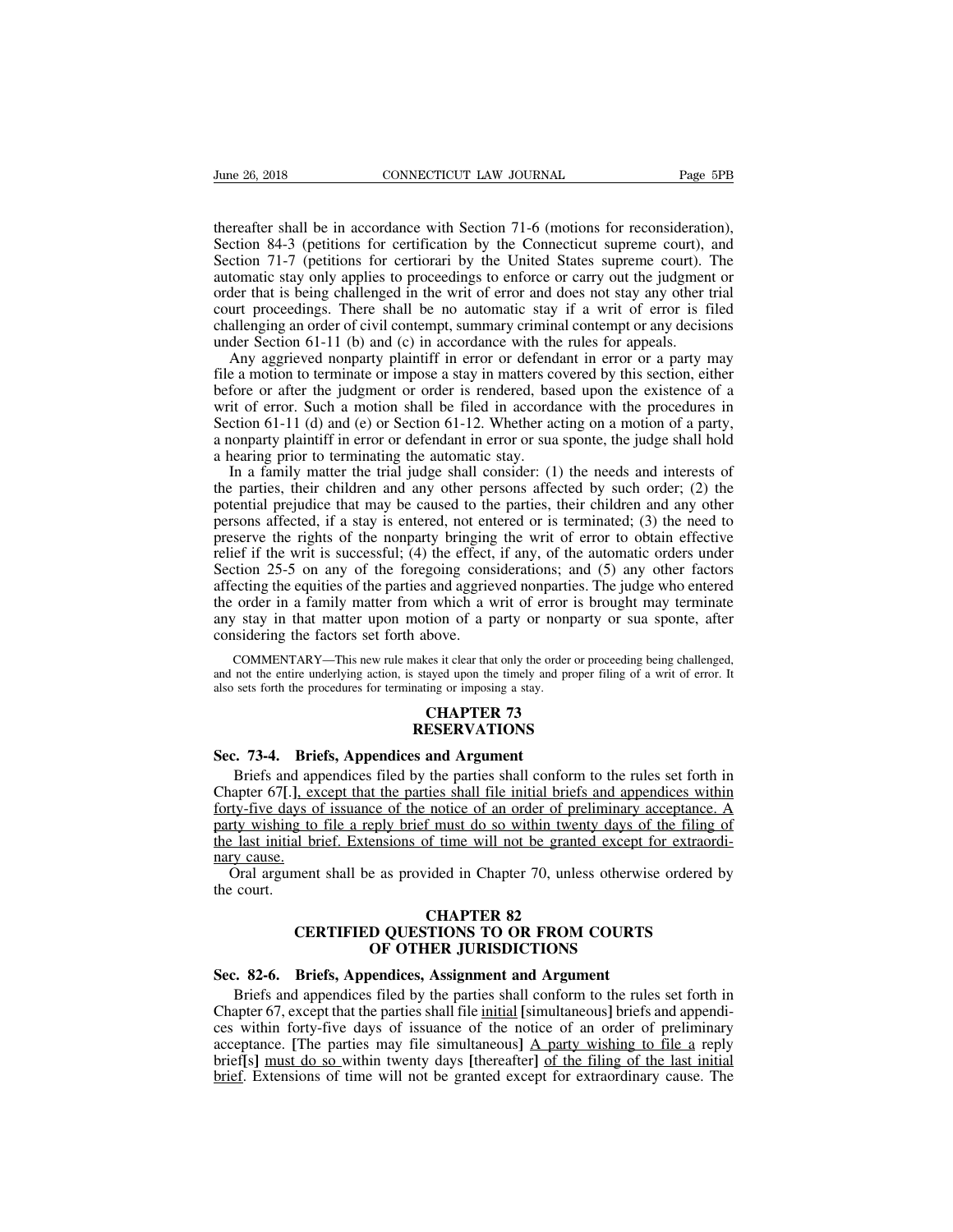Fume 26, 2018<br>
CONNECTICUT LAW JOURNAL<br>
Thereafter shall be in accordance with Section 71-6 (motions for reconsideration),<br>
Section 84-3 (petitions for certification by the Connecticut supreme court), and<br>
Section 71-7 (pe Sume 26, 2018 CONNECTICUT LAW JOURNAL Page 5PB<br>thereafter shall be in accordance with Section 71-6 (motions for reconsideration),<br>Section 84-3 (petitions for certification by the Connecticut supreme court), and<br>Section 71-Sume 26, 2018 CONNECTICUT LAW JOURNAL Page 5PB<br>thereafter shall be in accordance with Section 71-6 (motions for reconsideration),<br>Section 84-3 (petitions for certification by the Connecticut supreme court), and<br>Section 71-Frame 26, 2018 CONNECTICUT LAW JOURNAL Page 5PB<br>thereafter shall be in accordance with Section 71-6 (motions for reconsideration),<br>Section 84-3 (petitions for certification by the Connecticut supreme court), and<br>Section 71 order that is being accordance with Section 71-6 (motions for reconsideration),<br>Section 84-3 (petitions for certification by the Connecticut supreme court), and<br>Section 71-7 (petitions for certiorari by the United States s thereafter shall be in accordance with Section 71-6 (motions for reconsideration),<br>Section 84-3 (petitions for certification by the Connecticut supreme court), and<br>Section 71-7 (petitions for certiorari by the United State thereafter shall be in accordance with Section 71-6 (motions for reconsideration),<br>Section 84-3 (petitions for certification by the Connecticut supreme court), and<br>Section 71-7 (petitions for certiorari by the United State Section 84-3 (petitions for certification by the Connecticut supreme court),<br>Section 84-3 (petitions for certification by the United States supreme court),<br>automatic stay only applies to proceedings to enforce or carry out extion 64-5 (pentions for certification by the Coincentent supreme court), and<br>ction 71-7 (petitions for certiorari by the United States supreme court). The<br>tomatic stay only applies to proceedings to enforce or carry out Section 71-7 (pentions for ecritorian by the officer states supreme court). The automatic stay only applies to proceedings to enforce or carry out the judgment or order that is being challenged in the writ of error and doe

automate stay only applies to proceedings to emote or early out the judgment or order that is being challenged in the writ of error and does not stay any other trial court proceedings. There shall be no automatic stay if order that is being enancinged in the wirt of error and does not stay any other that<br>court proceedings. There shall be no automatic stay if a writ of error is filed<br>challenging an order of civil contempt, summary criminal count poecedings. There share of to addonate stay if a wift of effort is filed challenging an order of civil contempt, summary criminal contempt or any decisions under Section 61-11 (b) and (c) in accordance with the rule enancy and other of even contempt, summary emininal contempt of any decisions<br>under Section 61-11 (b) and (c) in accordance with the rules for appeals.<br>Any aggrieved nonparty plaintiff in error or defendant in error or a p Any aggrieved nonparty plaintiff in error or defend<br>file a motion to terminate or impose a stay in matters cc<br>before or after the judgment or order is rendered, bas<br>writ of error. Such a motion shall be filed in accorda<br>S Any aggrieved nonparty plantin in error of defendant in error of a party may<br>e a motion to terminate or impose a stay in matters covered by this section, either<br>fore or after the judgment or order is rendered, based upon the a motion to defining of mipose a stay in matters covered by this section, entirefunction of earth of error. Such a motion shall be filed in accordance with the procedures in Section 61-11 (d) and (e) or Section 61-12.

before of after the judgment of otder is rendered, based upon the existence of a<br>writ of error. Such a motion shall be filed in accordance with the procedures in<br>Section 61-11 (d) and (e) or Section 61-12. Whether acting o which effect in a state a motion shall be find in accoluate with the procedures in<br>Section 61-11 (d) and (e) or Section 61-12. Whether acting on a motion of a party,<br>a nonparty plaintiff in error or defendant in error or preserved the rights of the nonparty bringing the writ of error to obtain effection 25-5 on any of the foregoing considerations; and (5) any other parties, their children and any other persons affected by such order; (2) a honparty plannin in crior of determinant in crior of sua sponte, the judge shall not<br>a hearing prior to terminating the automatic stay.<br>In a family matter the trial judge shall consider: (1) the needs and interests of<br>th a hearing prior to terminating the automatic stay.<br>In a family matter the trial judge shall consider: (1) the needs and interests of<br>the parties, their children and any other persons affected by such order; (2) the<br>potenti In a family matter the that judge shan consider. (1) the hecds and interests of the parties, their children and any other persons affected by such order; (2) the potential prejudice that may be caused to the parties, thei the parties, their chindren and any other persons arected by such order,  $(z)$  the potential prejudice that may be caused to the parties, their children and any other persons affected, if a stay is entered, not entered or potential prejudice that may be caused to the parties, then children and any other<br>persons affected, if a stay is entered, not entered or is terminated; (3) the need to<br>preserve the rights of the nonparty bringing the writ persons ariected, in a stay is entered, not em<br>preserve the rights of the nonparty bringing<br>relief if the writ is successful; (4) the effect,<br>Section 25-5 on any of the foregoing cons<br>affecting the equities of the parties COMMENTARY—This new rule makes it clear that only the order or proceeding being challenged, order in a family matter from which a writ of error is brought may terminate  $\gamma$  stay in that matter upon motion of a party or n and and the entire underlying action, is stayed upon the timely and proper filing of a writ of error is brought may terminate any stay in that matter upon motion of a party or nonparty or sua sponte, after considering the the order in a family matter from which a writ of error is lany stay in that matter upon motion of a party or nonpart considering the factors set forth above.<br>
COMMENTARY—This new rule makes it clear that only the order or

COMMENTARY—This new rule makes it clear that only the order<br>and not the entire underlying action, is stayed upon the timely and p<br>also sets forth the procedures for terminating or imposing a stay.<br>**CHAPTER 73**<br>**Sec. 73-4.** 

### **RESERVATIONS**

Friefs and appendices filed by the parties shall conform to the rules set forth in<br>sets forth the procedures for terminating or imposing a stay.<br>**CHAPTER 73**<br>**CHAPTER 73**<br>**CHAPTER 73**<br>**CHAPTER 73**<br>**CHAPTER 73**<br>**ESERVATIONS CHAPTER 73**<br> **CHAPTER 73**<br> **CHAPTER 73**<br> **CHAPTER 73**<br> **CHAPTER 73**<br> **CHAPTER 73**<br> **CHAPTER 73**<br> **Sec. 73-4.** Briefs, Appendices and Argument<br>
Briefs and appendices filed by the parties shall conform to the rules set fort **FORTER 73**<br>**FORTER 73**<br>**RESERVATIONS**<br>**Sec. 73-4.** Briefs, Appendices and Argument<br>Briefs and appendices filed by the parties shall conform to the rules set forth in<br>Chapter 67[.], except that the parties shall file initi **EXECT SERVATIONS**<br>**EXECUTE:** A PRESERVATIONS<br>Briefs and appendices and Argument<br>Briefs and appendices filed by the parties shall conform to the rules set forth in<br>Chapter 67[.], except that the parties shall file initial **EXERVATIONS**<br> **Sec. 73-4.** Briefs, Appendices and Argument<br>
Briefs and appendices filed by the parties shall conform to the rules set forth in<br>
Chapter 67[.], except that the parties shall file initial briefs and appendic Sec. 73-4. Brid Briefs and app<br>Chapter 67[.], exforty-five days of<br>party wishing to<br>the last initial bridge. Oral argument<br>the court. CHAPTED 82<br>
CHAPTED 83<br>
CHAPTED 83<br>
CHAPTED 83<br>
CHAPTED 83<br>
CHAPTED 83<br>
CHAPTED 83<br>
CHAPTED 83<br>
CHAPTED 83<br>
CHAPTED 83 Briefs and a<br>Chapter 67[.]<br>forty-five days<br>party wishing the last initial<br>mary cause.<br>Oral argume<br>the court. notice of an order of prel<br>
f must do so within twent<br>
of time will not be granted<br>
ided in Chapter 70, unless<br> **CHAPTER 82<br>
TIONS TO OR FROM (IER JURISDICTIONS** g to file a reply brief must do so within twenty days of the filing of<br>al brief. Extensions of time will not be granted except for extraordi-<br>nent shall be as provided in Chapter 70, unless otherwise ordered by<br>**CHAPTER 82** 

## **EXECUTE:**<br> **OF OTHER WE ALSO EXECUTE 10**<br> **OF OTHER JURISDICTIONS**<br> **OF OTHER JURISDICTIONS**<br> **OF OTHER JURISDICTIONS**<br> **OF OTHER JURISDICTIONS SEC. 82-6.** Briefs, Appendices filed by the parties shall conform to the rule Chapter 67. except that the parties shall file initial Isimultaneous briefs.

CHAPTER 82<br>
CERTIFIED QUESTIONS TO OR FROM COURTS<br>
OF OTHER JURISDICTIONS<br>
2. 82-6. Briefs, Appendices, Assignment and Argument<br>
Briefs and appendices filed by the parties shall conform to the rules set forth in<br>
apter 67, **CHAPTER 82**<br>CERTIFIED QUESTIONS TO OR FROM COURTS<br>OF OTHER JURISDICTIONS<br>Sec. 82-6. Briefs, Appendices, Assignment and Argument<br>Briefs and appendices filed by the parties shall conform to the rules set forth in<br>Chapter 67 **CERTIFIED QUESTIONS TO OR FROM COURTS**<br> **CERTIFIED QUESTIONS TO OR FROM COURTS**<br> **Sec. 82-6.** Briefs, Appendices, Assignment and Argument<br>
Briefs and appendices filed by the parties shall conform to the rules set forth **EXTIFIED QUESTIONS TO OK FROM COUKTS**<br> **EXECUTED OF OTHER JURISDICTIONS**<br> **Sec. 82-6.** Briefs, Appendices, Assignment and Argument<br>
Briefs and appendices filed by the parties shall conform to the rules set forth in<br>
Chap **Sec. 82-6. Briefs, Appendices, Assignment and Argument**<br>Briefs and appendices filed by the parties shall conform to the rules set forth in<br>Chapter 67, except that the parties shall file <u>initial</u> [simultaneous] briefs and **Sec. 82-6. Briefs, Appendices, Assignment and Argument**<br>Briefs and appendices filed by the parties shall conform to the rules set forth in<br>Chapter 67, except that the parties shall file initial [simultaneous] briefs and